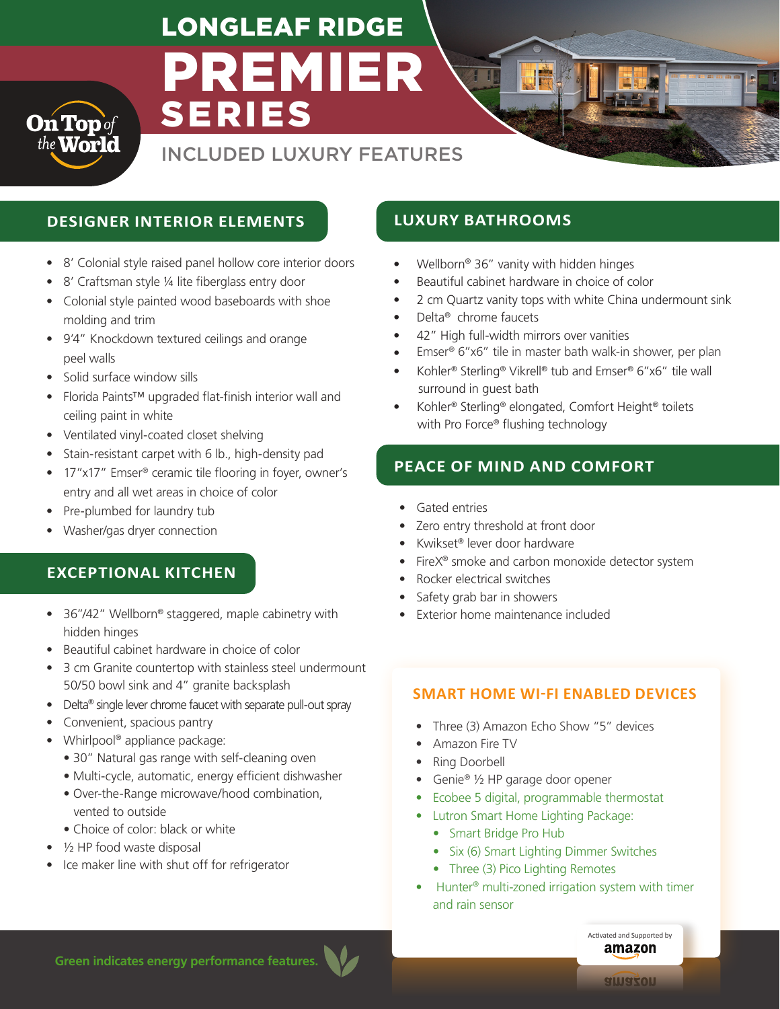# PREMIER SERIES LONGLEAF RIDGE

## INCLUDED LUXURY FEATURES

### **DESIGNER INTERIOR ELEMENTS LUXURY BATHROOMS**

- 8' Colonial style raised panel hollow core interior doors
- 8' Craftsman style ¼ lite fiberglass entry door
- Colonial style painted wood baseboards with shoe molding and trim
- 9'4" Knockdown textured ceilings and orange peel walls
- Solid surface window sills

**On Top** of

- Florida Paints™ upgraded flat-finish interior wall and ceiling paint in white
- Ventilated vinyl-coated closet shelving
- Stain-resistant carpet with 6 lb., high-density pad
- 17"x17" Emser<sup>®</sup> ceramic tile flooring in foyer, owner's entry and all wet areas in choice of color
- Pre-plumbed for laundry tub
- Washer/gas dryer connection

#### **EXCEPTIONAL KITCHEN**

- 36"/42" Wellborn® staggered, maple cabinetry with hidden hinges
- Beautiful cabinet hardware in choice of color
- 3 cm Granite countertop with stainless steel undermount 50/50 bowl sink and 4" granite backsplash
- Delta® single lever chrome faucet with separate pull-out spray
- Convenient, spacious pantry
- Whirlpool<sup>®</sup> appliance package:
	- 30" Natural gas range with self-cleaning oven
	- Multi-cycle, automatic, energy efficient dishwasher
	- Over-the-Range microwave/hood combination, vented to outside
	- Choice of color: black or white
- 1/<sub>2</sub> HP food waste disposal
- Ice maker line with shut off for refrigerator

- Wellborn® 36" vanity with hidden hinges
- Beautiful cabinet hardware in choice of color
- 2 cm Quartz vanity tops with white China undermount sink
- Delta® chrome faucets
- 42" High full-width mirrors over vanities
- Emser® 6"x6" tile in master bath walk-in shower, per plan
- Kohler® Sterling® Vikrell® tub and Emser® 6"x6" tile wall surround in guest bath
- Kohler® Sterling® elongated, Comfort Height® toilets with Pro Force® flushing technology

#### **PEACE OF MIND AND COMFORT**

- Gated entries
- Zero entry threshold at front door
- Kwikset® lever door hardware
- FireX<sup>®</sup> smoke and carbon monoxide detector system
- Rocker electrical switches
- Safety grab bar in showers
- Exterior home maintenance included

#### **SMART HOME WI-FI ENABLED DEVICES**

- Three (3) Amazon Echo Show "5" devices
- Amazon Fire TV
- Ring Doorbell
- Genie® 1/2 HP garage door opener
- Ecobee 5 digital, programmable thermostat
- Lutron Smart Home Lighting Package:
	- Smart Bridge Pro Hub
	- Six (6) Smart Lighting Dimmer Switches
	- Three (3) Pico Lighting Remotes
- Hunter<sup>®</sup> multi-zoned irrigation system with timer and rain sensor

**Green indicates energy performance features.**

amazon

Activated and Supported by